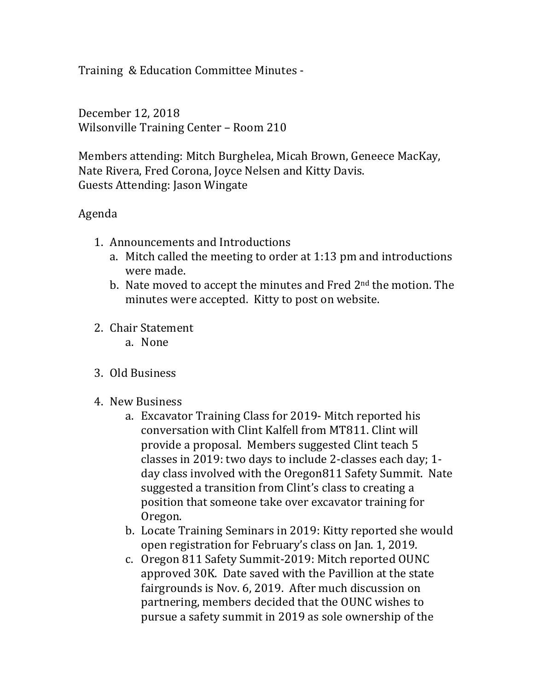Training & Education Committee Minutes -

December 12, 2018 Wilsonville Training Center - Room 210

Members attending: Mitch Burghelea, Micah Brown, Geneece MacKay, Nate Rivera, Fred Corona, Joyce Nelsen and Kitty Davis. Guests Attending: Jason Wingate

## Agenda

- 1. Announcements and Introductions
	- a. Mitch called the meeting to order at  $1:13$  pm and introductions were made.
	- b. Nate moved to accept the minutes and Fred  $2<sup>nd</sup>$  the motion. The minutes were accepted. Kitty to post on website.
- 2. Chair Statement
	- a. None
- 3. Old Business
- 4. New Business
	- a. Excavator Training Class for 2019- Mitch reported his conversation with Clint Kalfell from MT811. Clint will provide a proposal. Members suggested Clint teach 5 classes in 2019: two days to include 2-classes each day; 1day class involved with the Oregon811 Safety Summit. Nate suggested a transition from Clint's class to creating a position that someone take over excavator training for Oregon.
	- b. Locate Training Seminars in 2019: Kitty reported she would open registration for February's class on Jan. 1, 2019.
	- c. Oregon 811 Safety Summit-2019: Mitch reported OUNC approved 30K. Date saved with the Pavillion at the state fairgrounds is Nov. 6, 2019. After much discussion on partnering, members decided that the OUNC wishes to pursue a safety summit in 2019 as sole ownership of the